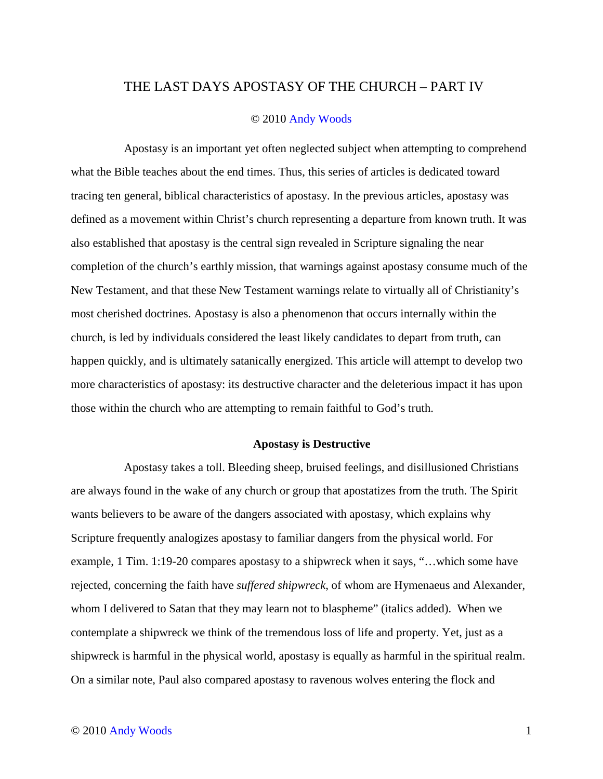## THE LAST DAYS APOSTASY OF THE CHURCH – PART IV

## © 2010 Andy Woods

Apostasy is an important yet often neglected subject when attempting to comprehend what the Bible teaches about the end times. Thus, this series of articles is dedicated toward tracing ten general, biblical characteristics of apostasy. In the previous articles, apostasy was defined as a movement within Christ's church representing a departure from known truth. It was also established that apostasy is the central sign revealed in Scripture signaling the near completion of the church's earthly mission, that warnings against apostasy consume much of the New Testament, and that these New Testament warnings relate to virtually all of Christianity's most cherished doctrines. Apostasy is also a phenomenon that occurs internally within the church, is led by individuals considered the least likely candidates to depart from truth, can happen quickly, and is ultimately satanically energized. This article will attempt to develop two more characteristics of apostasy: its destructive character and the deleterious impact it has upon those within the church who are attempting to remain faithful to God's truth.

## **Apostasy is Destructive**

Apostasy takes a toll. Bleeding sheep, bruised feelings, and disillusioned Christians are always found in the wake of any church or group that apostatizes from the truth. The Spirit wants believers to be aware of the dangers associated with apostasy, which explains why Scripture frequently analogizes apostasy to familiar dangers from the physical world. For example, 1 Tim. 1:19-20 compares apostasy to a shipwreck when it says, "…which some have rejected, concerning the faith have *suffered shipwreck*, of whom are Hymenaeus and Alexander, whom I delivered to Satan that they may learn not to blaspheme" (italics added). When we contemplate a shipwreck we think of the tremendous loss of life and property. Yet, just as a shipwreck is harmful in the physical world, apostasy is equally as harmful in the spiritual realm. On a similar note, Paul also compared apostasy to ravenous wolves entering the flock and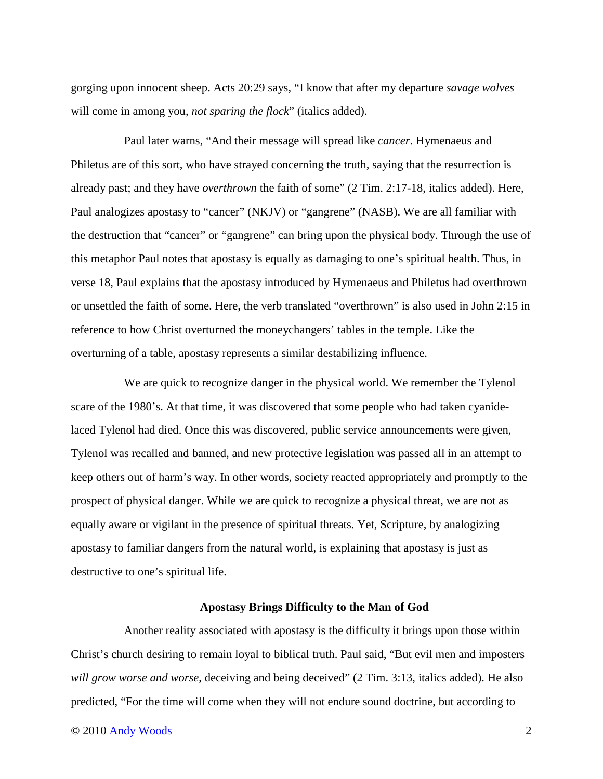gorging upon innocent sheep. Acts 20:29 says, "I know that after my departure *savage wolves* will come in among you, *not sparing the flock*" (italics added).

Paul later warns, "And their message will spread like *cancer*. Hymenaeus and Philetus are of this sort, who have strayed concerning the truth, saying that the resurrection is already past; and they have *overthrown* the faith of some" (2 Tim. 2:17-18, italics added). Here, Paul analogizes apostasy to "cancer" (NKJV) or "gangrene" (NASB). We are all familiar with the destruction that "cancer" or "gangrene" can bring upon the physical body. Through the use of this metaphor Paul notes that apostasy is equally as damaging to one's spiritual health. Thus, in verse 18, Paul explains that the apostasy introduced by Hymenaeus and Philetus had overthrown or unsettled the faith of some. Here, the verb translated "overthrown" is also used in John 2:15 in reference to how Christ overturned the moneychangers' tables in the temple. Like the overturning of a table, apostasy represents a similar destabilizing influence.

We are quick to recognize danger in the physical world. We remember the Tylenol scare of the 1980's. At that time, it was discovered that some people who had taken cyanidelaced Tylenol had died. Once this was discovered, public service announcements were given, Tylenol was recalled and banned, and new protective legislation was passed all in an attempt to keep others out of harm's way. In other words, society reacted appropriately and promptly to the prospect of physical danger. While we are quick to recognize a physical threat, we are not as equally aware or vigilant in the presence of spiritual threats. Yet, Scripture, by analogizing apostasy to familiar dangers from the natural world, is explaining that apostasy is just as destructive to one's spiritual life.

## **Apostasy Brings Difficulty to the Man of God**

Another reality associated with apostasy is the difficulty it brings upon those within Christ's church desiring to remain loyal to biblical truth. Paul said, "But evil men and imposters *will grow worse and worse*, deceiving and being deceived" (2 Tim. 3:13, italics added). He also predicted, "For the time will come when they will not endure sound doctrine, but according to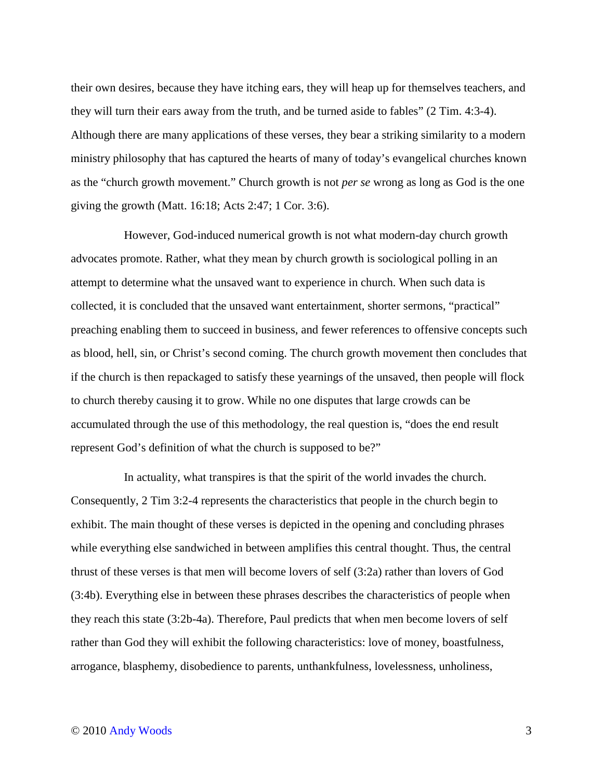their own desires, because they have itching ears, they will heap up for themselves teachers, and they will turn their ears away from the truth, and be turned aside to fables" (2 Tim. 4:3-4). Although there are many applications of these verses, they bear a striking similarity to a modern ministry philosophy that has captured the hearts of many of today's evangelical churches known as the "church growth movement." Church growth is not *per se* wrong as long as God is the one giving the growth (Matt. 16:18; Acts 2:47; 1 Cor. 3:6).

However, God-induced numerical growth is not what modern-day church growth advocates promote. Rather, what they mean by church growth is sociological polling in an attempt to determine what the unsaved want to experience in church. When such data is collected, it is concluded that the unsaved want entertainment, shorter sermons, "practical" preaching enabling them to succeed in business, and fewer references to offensive concepts such as blood, hell, sin, or Christ's second coming. The church growth movement then concludes that if the church is then repackaged to satisfy these yearnings of the unsaved, then people will flock to church thereby causing it to grow. While no one disputes that large crowds can be accumulated through the use of this methodology, the real question is, "does the end result represent God's definition of what the church is supposed to be?"

In actuality, what transpires is that the spirit of the world invades the church. Consequently, 2 Tim 3:2-4 represents the characteristics that people in the church begin to exhibit. The main thought of these verses is depicted in the opening and concluding phrases while everything else sandwiched in between amplifies this central thought. Thus, the central thrust of these verses is that men will become lovers of self (3:2a) rather than lovers of God (3:4b). Everything else in between these phrases describes the characteristics of people when they reach this state (3:2b-4a). Therefore, Paul predicts that when men become lovers of self rather than God they will exhibit the following characteristics: love of money, boastfulness, arrogance, blasphemy, disobedience to parents, unthankfulness, lovelessness, unholiness,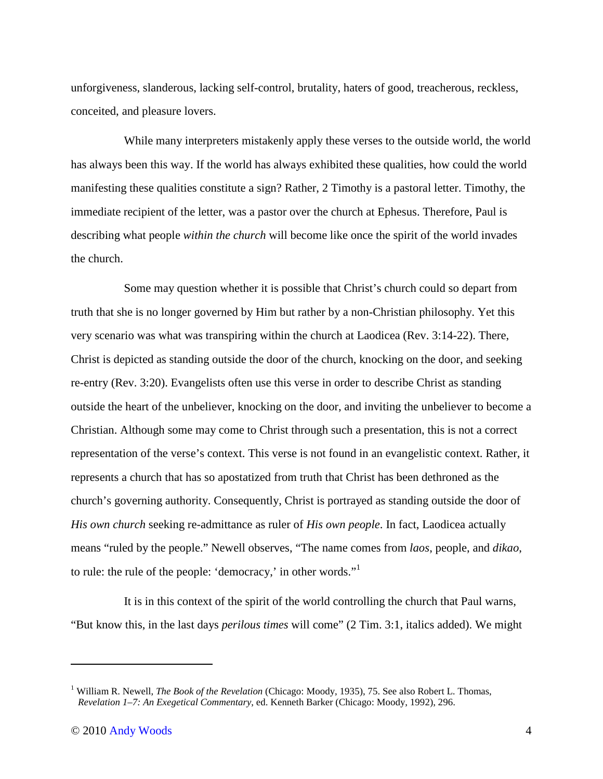unforgiveness, slanderous, lacking self-control, brutality, haters of good, treacherous, reckless, conceited, and pleasure lovers.

While many interpreters mistakenly apply these verses to the outside world, the world has always been this way. If the world has always exhibited these qualities, how could the world manifesting these qualities constitute a sign? Rather, 2 Timothy is a pastoral letter. Timothy, the immediate recipient of the letter, was a pastor over the church at Ephesus. Therefore, Paul is describing what people *within the church* will become like once the spirit of the world invades the church.

Some may question whether it is possible that Christ's church could so depart from truth that she is no longer governed by Him but rather by a non-Christian philosophy. Yet this very scenario was what was transpiring within the church at Laodicea (Rev. 3:14-22). There, Christ is depicted as standing outside the door of the church, knocking on the door, and seeking re-entry (Rev. 3:20). Evangelists often use this verse in order to describe Christ as standing outside the heart of the unbeliever, knocking on the door, and inviting the unbeliever to become a Christian. Although some may come to Christ through such a presentation, this is not a correct representation of the verse's context. This verse is not found in an evangelistic context. Rather, it represents a church that has so apostatized from truth that Christ has been dethroned as the church's governing authority. Consequently, Christ is portrayed as standing outside the door of *His own church* seeking re-admittance as ruler of *His own people*. In fact, Laodicea actually means "ruled by the people." Newell observes, "The name comes from *laos*, people, and *dikao*, to rule: the rule of the people: 'democracy,' in other words."<sup>1</sup>

It is in this context of the spirit of the world controlling the church that Paul warns, "But know this, in the last days *perilous times* will come" (2 Tim. 3:1, italics added). We might

 $\overline{a}$ 

<sup>&</sup>lt;sup>1</sup> William R. Newell, *The Book of the Revelation* (Chicago: Moody, 1935), 75. See also Robert L. Thomas, *Revelation 1–7: An Exegetical Commentary*, ed. Kenneth Barker (Chicago: Moody, 1992), 296.